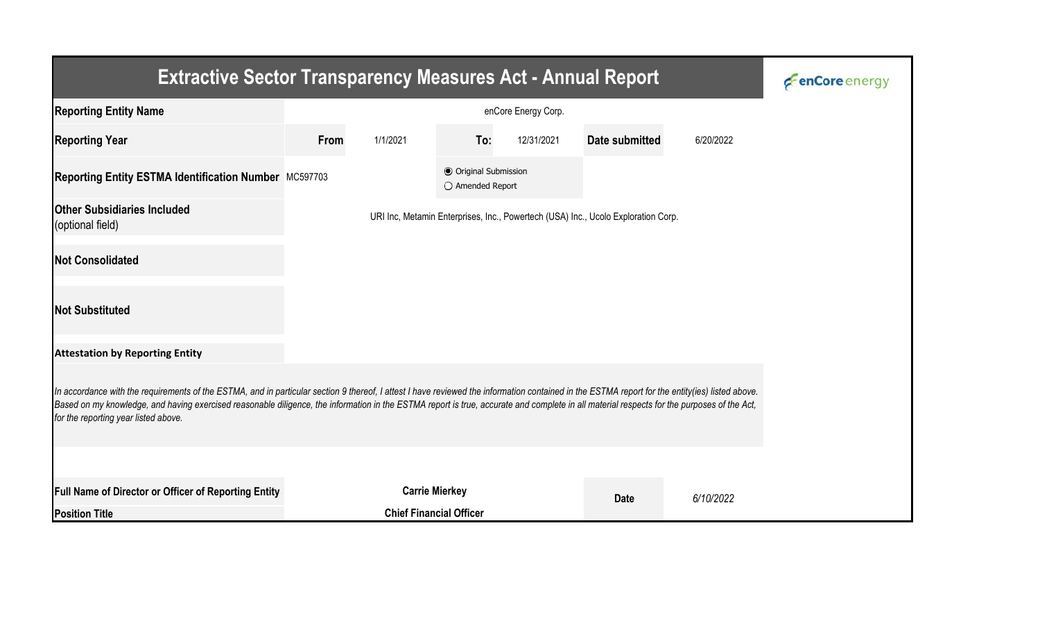| <b>Extractive Sector Transparency Measures Act - Annual Report</b>                                                                                                                                                                                                                                                                                                                                                                    | <b><i>C</i></b> enCore energy |                                                                                   |                                                  |            |                |           |  |  |  |  |
|---------------------------------------------------------------------------------------------------------------------------------------------------------------------------------------------------------------------------------------------------------------------------------------------------------------------------------------------------------------------------------------------------------------------------------------|-------------------------------|-----------------------------------------------------------------------------------|--------------------------------------------------|------------|----------------|-----------|--|--|--|--|
| <b>Reporting Entity Name</b>                                                                                                                                                                                                                                                                                                                                                                                                          |                               |                                                                                   |                                                  |            |                |           |  |  |  |  |
| <b>Reporting Year</b>                                                                                                                                                                                                                                                                                                                                                                                                                 | From<br>1/1/2021              |                                                                                   | To:                                              | 12/31/2021 | Date submitted | 6/20/2022 |  |  |  |  |
| Reporting Entity ESTMA Identification Number MC597703                                                                                                                                                                                                                                                                                                                                                                                 |                               |                                                                                   | <b>● Original Submission</b><br>O Amended Report |            |                |           |  |  |  |  |
| <b>Other Subsidiaries Included</b><br>(optional field)                                                                                                                                                                                                                                                                                                                                                                                |                               | URI Inc, Metamin Enterprises, Inc., Powertech (USA) Inc., Ucolo Exploration Corp. |                                                  |            |                |           |  |  |  |  |
| <b>Not Consolidated</b>                                                                                                                                                                                                                                                                                                                                                                                                               |                               |                                                                                   |                                                  |            |                |           |  |  |  |  |
| <b>Not Substituted</b>                                                                                                                                                                                                                                                                                                                                                                                                                |                               |                                                                                   |                                                  |            |                |           |  |  |  |  |
| <b>Attestation by Reporting Entity</b>                                                                                                                                                                                                                                                                                                                                                                                                |                               |                                                                                   |                                                  |            |                |           |  |  |  |  |
| In accordance with the requirements of the ESTMA, and in particular section 9 thereof, I attest I have reviewed the information contained in the ESTMA report for the entity(ies) listed above.<br>Based on my knowledge, and having exercised reasonable diligence, the information in the ESTMA report is true, accurate and complete in all material respects for the purposes of the Act,<br>for the reporting year listed above. |                               |                                                                                   |                                                  |            |                |           |  |  |  |  |
|                                                                                                                                                                                                                                                                                                                                                                                                                                       |                               |                                                                                   |                                                  |            |                |           |  |  |  |  |
| Full Name of Director or Officer of Reporting Entity                                                                                                                                                                                                                                                                                                                                                                                  |                               | <b>Carrie Mierkey</b>                                                             |                                                  |            | <b>Date</b>    | 6/10/2022 |  |  |  |  |
| <b>Position Title</b>                                                                                                                                                                                                                                                                                                                                                                                                                 |                               | <b>Chief Financial Officer</b>                                                    |                                                  |            |                |           |  |  |  |  |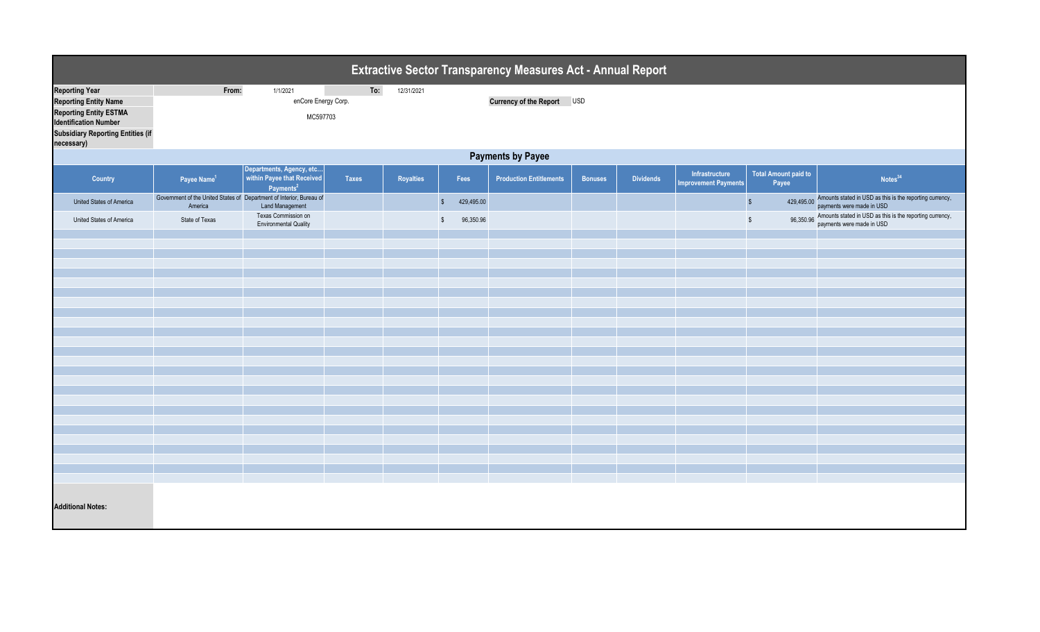| Extractive Sector Transparency Measures Act - Annual Report   |                         |                                                                                                |              |                  |                                      |                                |                |                  |                                               |                                      |                                                                                                  |
|---------------------------------------------------------------|-------------------------|------------------------------------------------------------------------------------------------|--------------|------------------|--------------------------------------|--------------------------------|----------------|------------------|-----------------------------------------------|--------------------------------------|--------------------------------------------------------------------------------------------------|
| <b>Reporting Year</b>                                         | From:                   | 1/1/2021                                                                                       | To:          | 12/31/2021       |                                      |                                |                |                  |                                               |                                      |                                                                                                  |
| <b>Reporting Entity Name</b>                                  |                         | enCore Energy Corp.                                                                            |              |                  |                                      | Currency of the Report USD     |                |                  |                                               |                                      |                                                                                                  |
|                                                               |                         |                                                                                                |              |                  |                                      |                                |                |                  |                                               |                                      |                                                                                                  |
| <b>Reporting Entity ESTMA</b><br><b>Identification Number</b> |                         | MC597703                                                                                       |              |                  |                                      |                                |                |                  |                                               |                                      |                                                                                                  |
| <b>Subsidiary Reporting Entities (if</b><br>necessary)        |                         |                                                                                                |              |                  |                                      |                                |                |                  |                                               |                                      |                                                                                                  |
| <b>Payments by Payee</b>                                      |                         |                                                                                                |              |                  |                                      |                                |                |                  |                                               |                                      |                                                                                                  |
| Country                                                       | Payee Name <sup>1</sup> | Departments, Agency, etc<br>within Payee that Received<br>Payments <sup>2</sup>                | <b>Taxes</b> | <b>Royalties</b> | Fees                                 | <b>Production Entitlements</b> | <b>Bonuses</b> | <b>Dividends</b> | Infrastructure<br><b>Improvement Payments</b> | <b>Total Amount paid to</b><br>Payee | Notes <sup>34</sup>                                                                              |
| United States of America                                      | America                 | Government of the United States of Department of Interior, Bureau of<br><b>Land Management</b> |              |                  | $$\mathbb{S}$$<br>429,495.00         |                                |                |                  |                                               | $$\mathbb{S}$$                       | 429,495.00 Amounts stated in USD as this is the reporting currency,<br>payments were made in USD |
| United States of America                                      | State of Texas          | Texas Commission on<br><b>Environmental Quality</b>                                            |              |                  | 96,350.96<br>$\sqrt[6]{\frac{1}{2}}$ |                                |                |                  |                                               | 96,350.96<br>$\sqrt[6]{\frac{1}{2}}$ | Amounts stated in USD as this is the reporting currency,<br>payments were made in USD            |
|                                                               |                         |                                                                                                |              |                  |                                      |                                |                |                  |                                               |                                      |                                                                                                  |
|                                                               |                         |                                                                                                |              |                  |                                      |                                |                |                  |                                               |                                      |                                                                                                  |
|                                                               |                         |                                                                                                |              |                  |                                      |                                |                |                  |                                               |                                      |                                                                                                  |
|                                                               |                         |                                                                                                |              |                  |                                      |                                |                |                  |                                               |                                      |                                                                                                  |
|                                                               |                         |                                                                                                |              |                  |                                      |                                |                |                  |                                               |                                      |                                                                                                  |
|                                                               |                         |                                                                                                |              |                  |                                      |                                |                |                  |                                               |                                      |                                                                                                  |
|                                                               |                         |                                                                                                |              |                  |                                      |                                |                |                  |                                               |                                      |                                                                                                  |
|                                                               |                         |                                                                                                |              |                  |                                      |                                |                |                  |                                               |                                      |                                                                                                  |
|                                                               |                         |                                                                                                |              |                  |                                      |                                |                |                  |                                               |                                      |                                                                                                  |
|                                                               |                         |                                                                                                |              |                  |                                      |                                |                |                  |                                               |                                      |                                                                                                  |
|                                                               |                         |                                                                                                |              |                  |                                      |                                |                |                  |                                               |                                      |                                                                                                  |
|                                                               |                         |                                                                                                |              |                  |                                      |                                |                |                  |                                               |                                      |                                                                                                  |
|                                                               |                         |                                                                                                |              |                  |                                      |                                |                |                  |                                               |                                      |                                                                                                  |
|                                                               |                         |                                                                                                |              |                  |                                      |                                |                |                  |                                               |                                      |                                                                                                  |
|                                                               |                         |                                                                                                |              |                  |                                      |                                |                |                  |                                               |                                      |                                                                                                  |
|                                                               |                         |                                                                                                |              |                  |                                      |                                |                |                  |                                               |                                      |                                                                                                  |
|                                                               |                         |                                                                                                |              |                  |                                      |                                |                |                  |                                               |                                      |                                                                                                  |
|                                                               |                         |                                                                                                |              |                  |                                      |                                |                |                  |                                               |                                      |                                                                                                  |
|                                                               |                         |                                                                                                |              |                  |                                      |                                |                |                  |                                               |                                      |                                                                                                  |
|                                                               |                         |                                                                                                |              |                  |                                      |                                |                |                  |                                               |                                      |                                                                                                  |
|                                                               |                         |                                                                                                |              |                  |                                      |                                |                |                  |                                               |                                      |                                                                                                  |
|                                                               |                         |                                                                                                |              |                  |                                      |                                |                |                  |                                               |                                      |                                                                                                  |
|                                                               |                         |                                                                                                |              |                  |                                      |                                |                |                  |                                               |                                      |                                                                                                  |
|                                                               |                         |                                                                                                |              |                  |                                      |                                |                |                  |                                               |                                      |                                                                                                  |
|                                                               |                         |                                                                                                |              |                  |                                      |                                |                |                  |                                               |                                      |                                                                                                  |
|                                                               |                         |                                                                                                |              |                  |                                      |                                |                |                  |                                               |                                      |                                                                                                  |
| <b>Additional Notes:</b>                                      |                         |                                                                                                |              |                  |                                      |                                |                |                  |                                               |                                      |                                                                                                  |